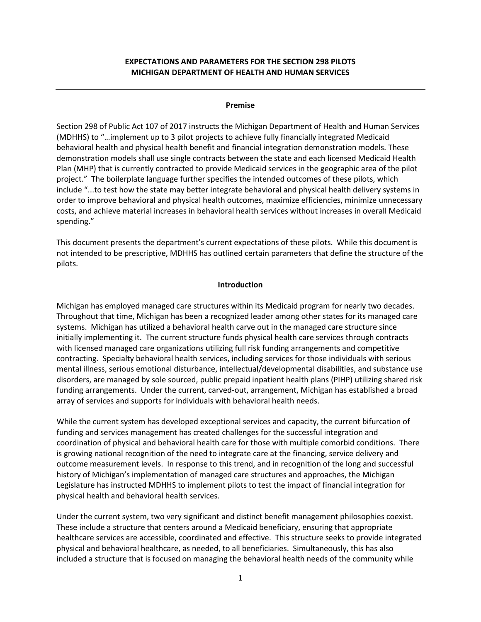## **EXPECTATIONS AND PARAMETERS FOR THE SECTION 298 PILOTS MICHIGAN DEPARTMENT OF HEALTH AND HUMAN SERVICES**

#### **Premise**

Section 298 of Public Act 107 of 2017 instructs the Michigan Department of Health and Human Services (MDHHS) to "…implement up to 3 pilot projects to achieve fully financially integrated Medicaid behavioral health and physical health benefit and financial integration demonstration models. These demonstration models shall use single contracts between the state and each licensed Medicaid Health Plan (MHP) that is currently contracted to provide Medicaid services in the geographic area of the pilot project." The boilerplate language further specifies the intended outcomes of these pilots, which include "...to test how the state may better integrate behavioral and physical health delivery systems in order to improve behavioral and physical health outcomes, maximize efficiencies, minimize unnecessary costs, and achieve material increases in behavioral health services without increases in overall Medicaid spending."

This document presents the department's current expectations of these pilots. While this document is not intended to be prescriptive, MDHHS has outlined certain parameters that define the structure of the pilots.

#### **Introduction**

Michigan has employed managed care structures within its Medicaid program for nearly two decades. Throughout that time, Michigan has been a recognized leader among other states for its managed care systems. Michigan has utilized a behavioral health carve out in the managed care structure since initially implementing it. The current structure funds physical health care services through contracts with licensed managed care organizations utilizing full risk funding arrangements and competitive contracting. Specialty behavioral health services, including services for those individuals with serious mental illness, serious emotional disturbance, intellectual/developmental disabilities, and substance use disorders, are managed by sole sourced, public prepaid inpatient health plans (PIHP) utilizing shared risk funding arrangements. Under the current, carved-out, arrangement, Michigan has established a broad array of services and supports for individuals with behavioral health needs.

While the current system has developed exceptional services and capacity, the current bifurcation of funding and services management has created challenges for the successful integration and coordination of physical and behavioral health care for those with multiple comorbid conditions. There is growing national recognition of the need to integrate care at the financing, service delivery and outcome measurement levels. In response to this trend, and in recognition of the long and successful history of Michigan's implementation of managed care structures and approaches, the Michigan Legislature has instructed MDHHS to implement pilots to test the impact of financial integration for physical health and behavioral health services.

Under the current system, two very significant and distinct benefit management philosophies coexist. These include a structure that centers around a Medicaid beneficiary, ensuring that appropriate healthcare services are accessible, coordinated and effective. This structure seeks to provide integrated physical and behavioral healthcare, as needed, to all beneficiaries. Simultaneously, this has also included a structure that is focused on managing the behavioral health needs of the community while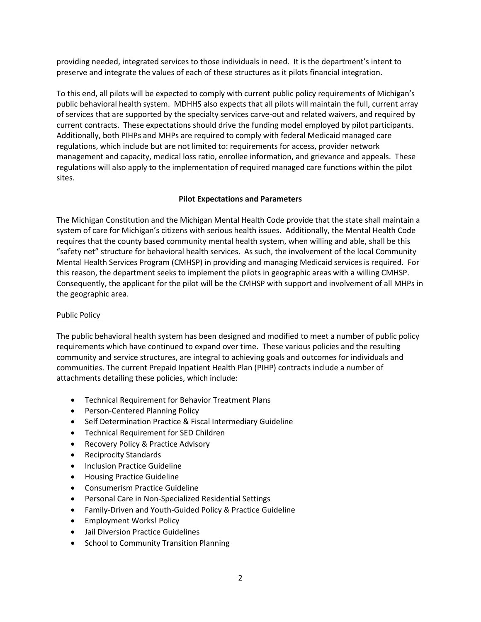providing needed, integrated services to those individuals in need. It is the department's intent to preserve and integrate the values of each of these structures as it pilots financial integration.

To this end, all pilots will be expected to comply with current public policy requirements of Michigan's public behavioral health system. MDHHS also expects that all pilots will maintain the full, current array of services that are supported by the specialty services carve-out and related waivers, and required by current contracts. These expectations should drive the funding model employed by pilot participants. Additionally, both PIHPs and MHPs are required to comply with federal Medicaid managed care regulations, which include but are not limited to: requirements for access, provider network management and capacity, medical loss ratio, enrollee information, and grievance and appeals. These regulations will also apply to the implementation of required managed care functions within the pilot sites.

# **Pilot Expectations and Parameters**

The Michigan Constitution and the Michigan Mental Health Code provide that the state shall maintain a system of care for Michigan's citizens with serious health issues. Additionally, the Mental Health Code requires that the county based community mental health system, when willing and able, shall be this "safety net" structure for behavioral health services. As such, the involvement of the local Community Mental Health Services Program (CMHSP) in providing and managing Medicaid services is required. For this reason, the department seeks to implement the pilots in geographic areas with a willing CMHSP. Consequently, the applicant for the pilot will be the CMHSP with support and involvement of all MHPs in the geographic area.

## Public Policy

The public behavioral health system has been designed and modified to meet a number of public policy requirements which have continued to expand over time. These various policies and the resulting community and service structures, are integral to achieving goals and outcomes for individuals and communities. The current Prepaid Inpatient Health Plan (PIHP) contracts include a number of attachments detailing these policies, which include:

- Technical Requirement for Behavior Treatment Plans
- Person-Centered Planning Policy
- Self Determination Practice & Fiscal Intermediary Guideline
- Technical Requirement for SED Children
- Recovery Policy & Practice Advisory
- Reciprocity Standards
- **•** Inclusion Practice Guideline
- Housing Practice Guideline
- Consumerism Practice Guideline
- Personal Care in Non-Specialized Residential Settings
- Family-Driven and Youth-Guided Policy & Practice Guideline
- Employment Works! Policy
- Jail Diversion Practice Guidelines
- School to Community Transition Planning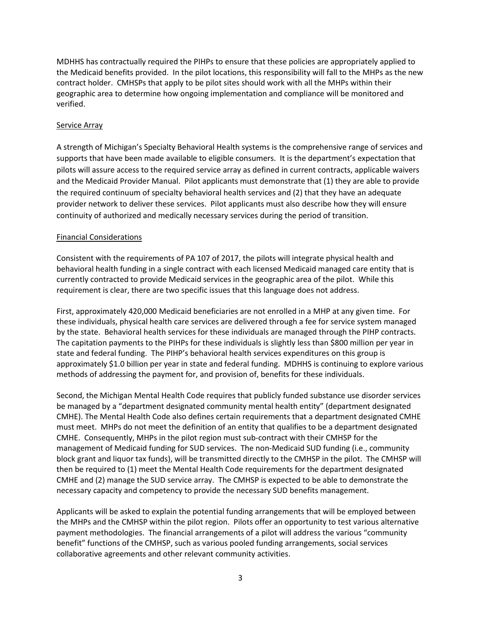MDHHS has contractually required the PIHPs to ensure that these policies are appropriately applied to the Medicaid benefits provided. In the pilot locations, this responsibility will fall to the MHPs as the new contract holder. CMHSPs that apply to be pilot sites should work with all the MHPs within their geographic area to determine how ongoing implementation and compliance will be monitored and verified.

#### Service Array

A strength of Michigan's Specialty Behavioral Health systems is the comprehensive range of services and supports that have been made available to eligible consumers. It is the department's expectation that pilots will assure access to the required service array as defined in current contracts, applicable waivers and the Medicaid Provider Manual. Pilot applicants must demonstrate that (1) they are able to provide the required continuum of specialty behavioral health services and (2) that they have an adequate provider network to deliver these services. Pilot applicants must also describe how they will ensure continuity of authorized and medically necessary services during the period of transition.

# Financial Considerations

Consistent with the requirements of PA 107 of 2017, the pilots will integrate physical health and behavioral health funding in a single contract with each licensed Medicaid managed care entity that is currently contracted to provide Medicaid services in the geographic area of the pilot. While this requirement is clear, there are two specific issues that this language does not address.

First, approximately 420,000 Medicaid beneficiaries are not enrolled in a MHP at any given time. For these individuals, physical health care services are delivered through a fee for service system managed by the state. Behavioral health services for these individuals are managed through the PIHP contracts. The capitation payments to the PIHPs for these individuals is slightly less than \$800 million per year in state and federal funding. The PIHP's behavioral health services expenditures on this group is approximately \$1.0 billion per year in state and federal funding. MDHHS is continuing to explore various methods of addressing the payment for, and provision of, benefits for these individuals.

Second, the Michigan Mental Health Code requires that publicly funded substance use disorder services be managed by a "department designated community mental health entity" (department designated CMHE). The Mental Health Code also defines certain requirements that a department designated CMHE must meet. MHPs do not meet the definition of an entity that qualifies to be a department designated CMHE. Consequently, MHPs in the pilot region must sub-contract with their CMHSP for the management of Medicaid funding for SUD services. The non-Medicaid SUD funding (i.e., community block grant and liquor tax funds), will be transmitted directly to the CMHSP in the pilot. The CMHSP will then be required to (1) meet the Mental Health Code requirements for the department designated CMHE and (2) manage the SUD service array. The CMHSP is expected to be able to demonstrate the necessary capacity and competency to provide the necessary SUD benefits management.

Applicants will be asked to explain the potential funding arrangements that will be employed between the MHPs and the CMHSP within the pilot region. Pilots offer an opportunity to test various alternative payment methodologies. The financial arrangements of a pilot will address the various "community benefit" functions of the CMHSP, such as various pooled funding arrangements, social services collaborative agreements and other relevant community activities.